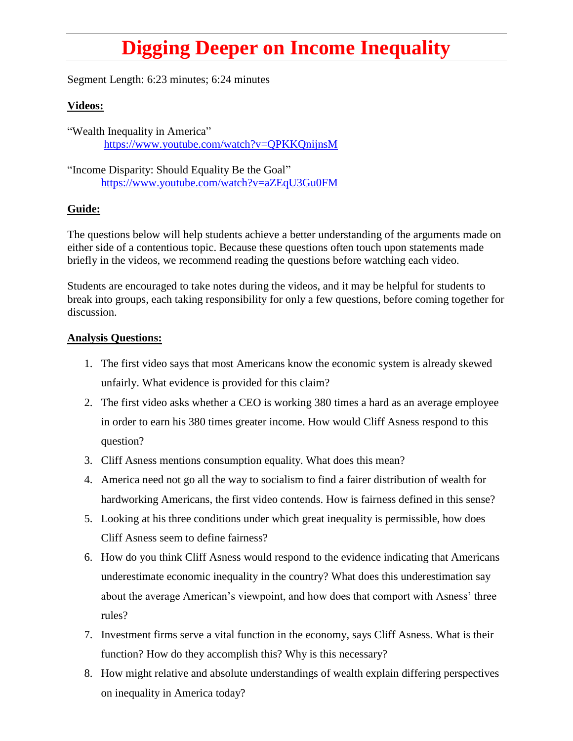## **Digging Deeper on Income Inequality**

Segment Length: 6:23 minutes; 6:24 minutes

## **Videos:**

"Wealth Inequality in America" <https://www.youtube.com/watch?v=QPKKQnijnsM>

"Income Disparity: Should Equality Be the Goal" <https://www.youtube.com/watch?v=aZEqU3Gu0FM>

## **Guide:**

The questions below will help students achieve a better understanding of the arguments made on either side of a contentious topic. Because these questions often touch upon statements made briefly in the videos, we recommend reading the questions before watching each video.

Students are encouraged to take notes during the videos, and it may be helpful for students to break into groups, each taking responsibility for only a few questions, before coming together for discussion.

## **Analysis Questions:**

- 1. The first video says that most Americans know the economic system is already skewed unfairly. What evidence is provided for this claim?
- 2. The first video asks whether a CEO is working 380 times a hard as an average employee in order to earn his 380 times greater income. How would Cliff Asness respond to this question?
- 3. Cliff Asness mentions consumption equality. What does this mean?
- 4. America need not go all the way to socialism to find a fairer distribution of wealth for hardworking Americans, the first video contends. How is fairness defined in this sense?
- 5. Looking at his three conditions under which great inequality is permissible, how does Cliff Asness seem to define fairness?
- 6. How do you think Cliff Asness would respond to the evidence indicating that Americans underestimate economic inequality in the country? What does this underestimation say about the average American's viewpoint, and how does that comport with Asness' three rules?
- 7. Investment firms serve a vital function in the economy, says Cliff Asness. What is their function? How do they accomplish this? Why is this necessary?
- 8. How might relative and absolute understandings of wealth explain differing perspectives on inequality in America today?